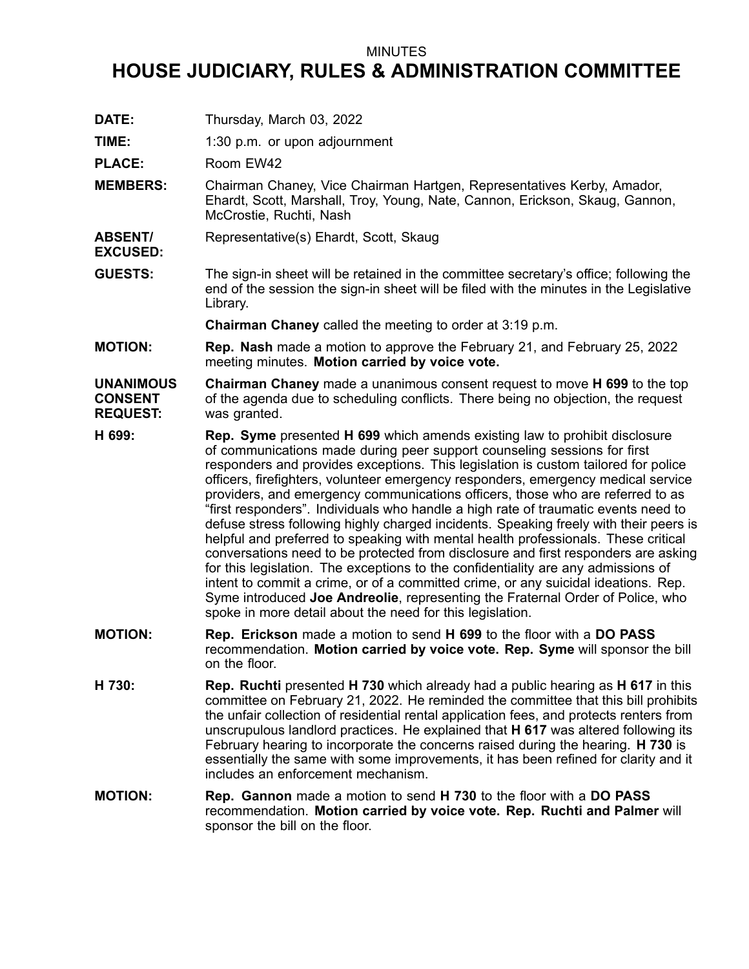## MINUTES

## **HOUSE JUDICIARY, RULES & ADMINISTRATION COMMITTEE**

**DATE:** Thursday, March 03, 2022

**TIME:** 1:30 p.m. or upon adjournment

PLACE: Room EW42

**EXCUSED:**

- **MEMBERS:** Chairman Chaney, Vice Chairman Hartgen, Representatives Kerby, Amador, Ehardt, Scott, Marshall, Troy, Young, Nate, Cannon, Erickson, Skaug, Gannon, McCrostie, Ruchti, Nash
- **ABSENT/** Representative(s) Ehardt, Scott, Skaug
- **GUESTS:** The sign-in sheet will be retained in the committee secretary's office; following the end of the session the sign-in sheet will be filed with the minutes in the Legislative Library.

**Chairman Chaney** called the meeting to order at 3:19 p.m.

**MOTION: Rep. Nash** made <sup>a</sup> motion to approve the February 21, and February 25, 2022 meeting minutes. **Motion carried by voice vote.**

## **UNANIMOUS CONSENT REQUEST: Chairman Chaney** made <sup>a</sup> unanimous consent request to move **H 699** to the top of the agenda due to scheduling conflicts. There being no objection, the request was granted.

- **H 699: Rep. Syme** presented **H 699** which amends existing law to prohibit disclosure of communications made during peer support counseling sessions for first responders and provides exceptions. This legislation is custom tailored for police officers, firefighters, volunteer emergency responders, emergency medical service providers, and emergency communications officers, those who are referred to as "first responders". Individuals who handle <sup>a</sup> high rate of traumatic events need to defuse stress following highly charged incidents. Speaking freely with their peers is helpful and preferred to speaking with mental health professionals. These critical conversations need to be protected from disclosure and first responders are asking for this legislation. The exceptions to the confidentiality are any admissions of intent to commit <sup>a</sup> crime, or of <sup>a</sup> committed crime, or any suicidal ideations. Rep. Syme introduced **Joe Andreolie**, representing the Fraternal Order of Police, who spoke in more detail about the need for this legislation.
- **MOTION: Rep. Erickson** made <sup>a</sup> motion to send **H 699** to the floor with <sup>a</sup> **DO PASS** recommendation. **Motion carried by voice vote. Rep. Syme** will sponsor the bill on the floor.
- **H 730: Rep. Ruchti** presented **H 730** which already had <sup>a</sup> public hearing as **H 617** in this committee on February 21, 2022. He reminded the committee that this bill prohibits the unfair collection of residential rental application fees, and protects renters from unscrupulous landlord practices. He explained that **H 617** was altered following its February hearing to incorporate the concerns raised during the hearing. **H 730** is essentially the same with some improvements, it has been refined for clarity and it includes an enforcement mechanism.
- **MOTION: Rep. Gannon** made <sup>a</sup> motion to send **H 730** to the floor with <sup>a</sup> **DO PASS** recommendation. **Motion carried by voice vote. Rep. Ruchti and Palmer** will sponsor the bill on the floor.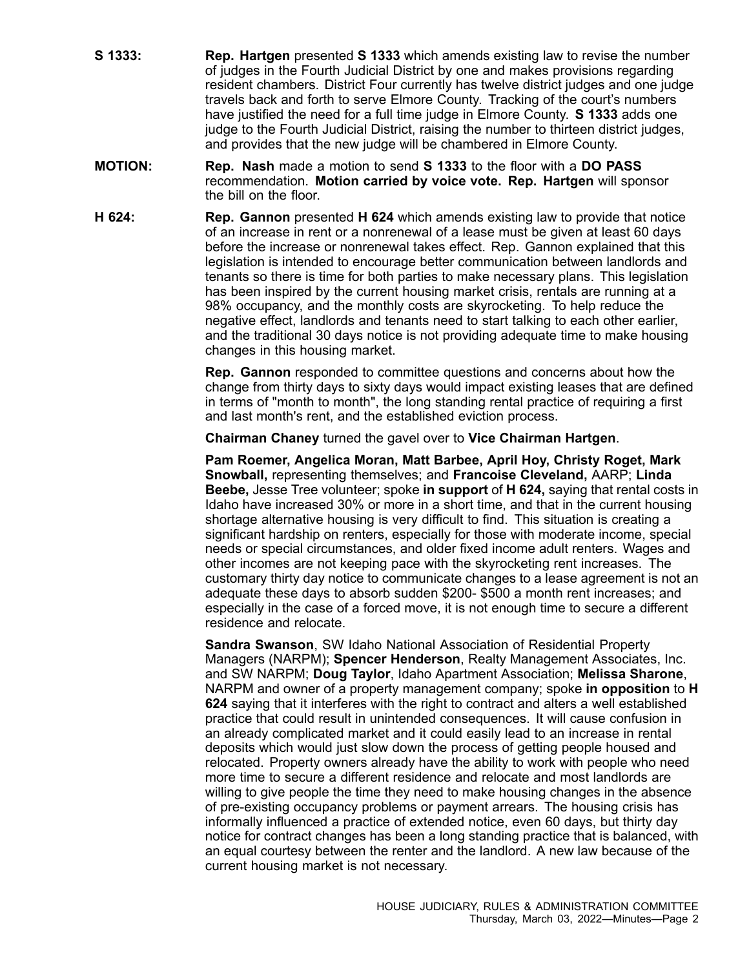- **S 1333: Rep. Hartgen** presented **S 1333** which amends existing law to revise the number of judges in the Fourth Judicial District by one and makes provisions regarding resident chambers. District Four currently has twelve district judges and one judge travels back and forth to serve Elmore County. Tracking of the court's numbers have justified the need for <sup>a</sup> full time judge in Elmore County. **S 1333** adds one judge to the Fourth Judicial District, raising the number to thirteen district judges, and provides that the new judge will be chambered in Elmore County.
- **MOTION: Rep. Nash** made <sup>a</sup> motion to send **S 1333** to the floor with <sup>a</sup> **DO PASS** recommendation. **Motion carried by voice vote. Rep. Hartgen** will sponsor the bill on the floor.
- **H 624: Rep. Gannon** presented **H 624** which amends existing law to provide that notice of an increase in rent or <sup>a</sup> nonrenewal of <sup>a</sup> lease must be given at least 60 days before the increase or nonrenewal takes effect. Rep. Gannon explained that this legislation is intended to encourage better communication between landlords and tenants so there is time for both parties to make necessary plans. This legislation has been inspired by the current housing market crisis, rentals are running at <sup>a</sup> 98% occupancy, and the monthly costs are skyrocketing. To help reduce the negative effect, landlords and tenants need to start talking to each other earlier, and the traditional 30 days notice is not providing adequate time to make housing changes in this housing market.

**Rep. Gannon** responded to committee questions and concerns about how the change from thirty days to sixty days would impact existing leases that are defined in terms of "month to month", the long standing rental practice of requiring <sup>a</sup> first and last month's rent, and the established eviction process.

**Chairman Chaney** turned the gavel over to **Vice Chairman Hartgen**.

**Pam Roemer, Angelica Moran, Matt Barbee, April Hoy, Christy Roget, Mark Snowball,** representing themselves; and **Francoise Cleveland,** AARP; **Linda Beebe,** Jesse Tree volunteer; spoke **in support** of **H 624,** saying that rental costs in Idaho have increased 30% or more in <sup>a</sup> short time, and that in the current housing shortage alternative housing is very difficult to find. This situation is creating <sup>a</sup> significant hardship on renters, especially for those with moderate income, special needs or special circumstances, and older fixed income adult renters. Wages and other incomes are not keeping pace with the skyrocketing rent increases. The customary thirty day notice to communicate changes to <sup>a</sup> lease agreement is not an adequate these days to absorb sudden \$200- \$500 <sup>a</sup> month rent increases; and especially in the case of <sup>a</sup> forced move, it is not enough time to secure <sup>a</sup> different residence and relocate.

**Sandra Swanson**, SW Idaho National Association of Residential Property Managers (NARPM); **Spencer Henderson**, Realty Management Associates, Inc. and SW NARPM; **Doug Taylor**, Idaho Apartment Association; **Melissa Sharone**, NARPM and owner of <sup>a</sup> property management company; spoke **in opposition** to **H 624** saying that it interferes with the right to contract and alters <sup>a</sup> well established practice that could result in unintended consequences. It will cause confusion in an already complicated market and it could easily lead to an increase in rental deposits which would just slow down the process of getting people housed and relocated. Property owners already have the ability to work with people who need more time to secure a different residence and relocate and most landlords are willing to give people the time they need to make housing changes in the absence of pre-existing occupancy problems or payment arrears. The housing crisis has informally influenced <sup>a</sup> practice of extended notice, even 60 days, but thirty day notice for contract changes has been <sup>a</sup> long standing practice that is balanced, with an equal courtesy between the renter and the landlord. A new law because of the current housing market is not necessary.